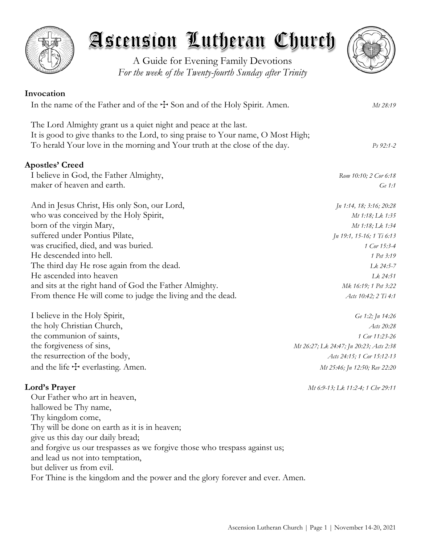



A Guide for Evening Family Devotions *For the week of the Twenty-fourth Sunday after Trinity*

| Invocation                                                                                                                                          |                           |
|-----------------------------------------------------------------------------------------------------------------------------------------------------|---------------------------|
| In the name of the Father and of the $+$ Son and of the Holy Spirit. Amen.                                                                          | Mt 28:19                  |
| The Lord Almighty grant us a quiet night and peace at the last.<br>It is good to give thanks to the Lord, to sing praise to Your name, O Most High; |                           |
| To herald Your love in the morning and Your truth at the close of the day.                                                                          | $Ps 92:1-2$               |
| <b>Apostles' Creed</b>                                                                                                                              |                           |
| I believe in God, the Father Almighty,                                                                                                              | Rom 10:10; 2 Cor 6:18     |
| maker of heaven and earth.                                                                                                                          | Ge 1:1                    |
| And in Jesus Christ, His only Son, our Lord,                                                                                                        | Jn 1:14, 18; 3:16; 20:28  |
| who was conceived by the Holy Spirit,                                                                                                               | Mt 1:18; Lk 1:35          |
| born of the virgin Mary,                                                                                                                            | Mt 1:18; Lk 1:34          |
| suffered under Pontius Pilate,                                                                                                                      | Jn 19:1, 15-16; 1 Ti 6:13 |
| was crucified, died, and was buried.                                                                                                                | 1 Cor 15:3-4              |
| He descended into hell.                                                                                                                             | 1 Pet 3:19                |
| The third day He rose again from the dead.                                                                                                          | Lk 24:5-7                 |
| He ascended into heaven                                                                                                                             | Lk 24:51                  |
| and sits at the right hand of God the Father Almighty.                                                                                              | Mk 16:19; 1 Pet 3:22      |
| From thence He will come to judge the living and the dead.                                                                                          | Acts 10:42; 2 Ti 4:1      |
| I believe in the Holy Spirit,                                                                                                                       | Ge 1:2; Jn 14:26          |
| the holy Christian Church,                                                                                                                          | Acts 20:28                |
| the communion of saints,                                                                                                                            | 1 Cor 11:23-26            |

the forgiveness of sins, *Mt 26:27; Lk 24:47; Jn 20:23; Acts 2:38* the resurrection of the body, *Acts 24:15; 1 Cor 15:12-13* and the life  $\pm$  everlasting. Amen. *Mt 25:46; Jn 12:50; Rev 22:20* 

# **Lord's Prayer** *Mt 6:9-13; Lk 11:2-4; 1 Chr 29:11*

Our Father who art in heaven, hallowed be Thy name, Thy kingdom come, Thy will be done on earth as it is in heaven; give us this day our daily bread; and forgive us our trespasses as we forgive those who trespass against us; and lead us not into temptation, but deliver us from evil. For Thine is the kingdom and the power and the glory forever and ever. Amen.